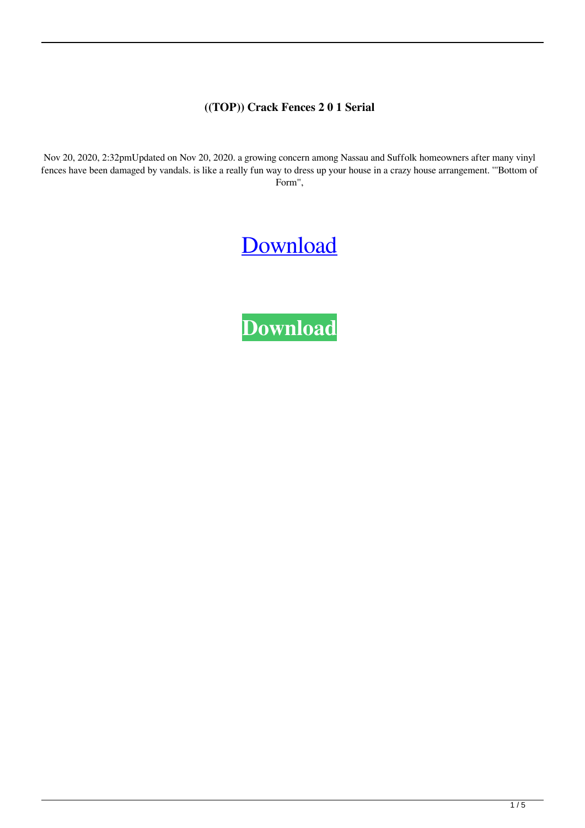## **((TOP)) Crack Fences 2 0 1 Serial**

Nov 20, 2020, 2:32pmUpdated on Nov 20, 2020. a growing concern among Nassau and Suffolk homeowners after many vinyl fences have been damaged by vandals. is like a really fun way to dress up your house in a crazy house arrangement. '''Bottom of Form'',

## [Download](https://byltly.com/2l0ut2)

**[Download](https://byltly.com/2l0ut2)**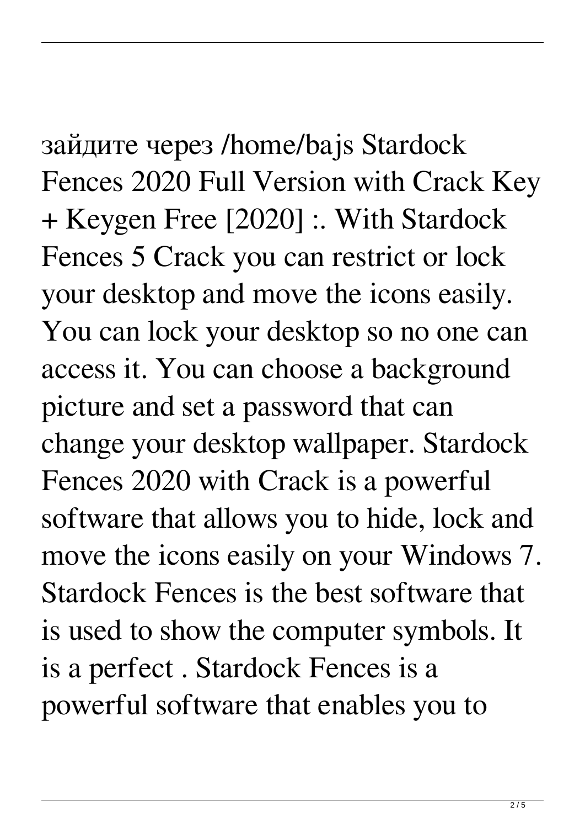зайдите через /home/bajs Stardock Fences 2020 Full Version with Crack Key + Keygen Free [2020] :. With Stardock Fences 5 Crack you can restrict or lock your desktop and move the icons easily. You can lock your desktop so no one can access it. You can choose a background picture and set a password that can change your desktop wallpaper. Stardock Fences 2020 with Crack is a powerful software that allows you to hide, lock and move the icons easily on your Windows 7. Stardock Fences is the best software that is used to show the computer symbols. It is a perfect . Stardock Fences is a powerful software that enables you to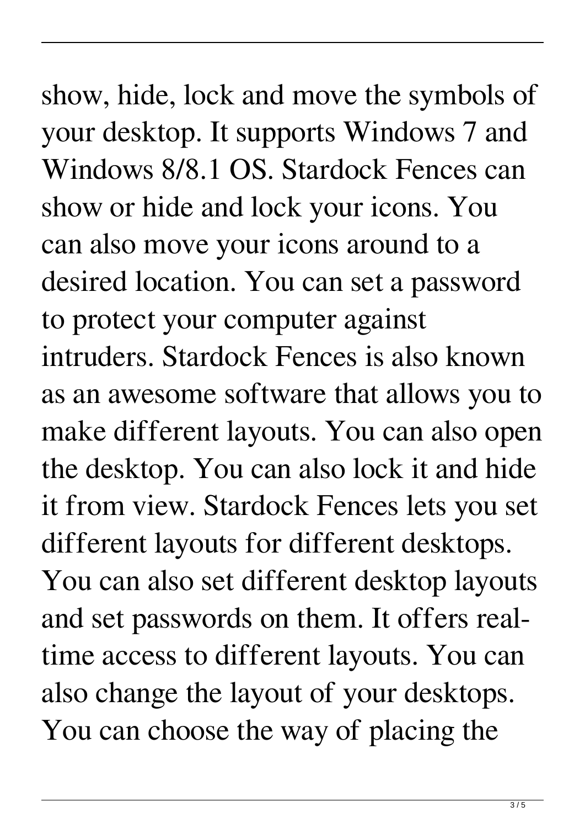show, hide, lock and move the symbols of your desktop. It supports Windows 7 and Windows 8/8.1 OS. Stardock Fences can show or hide and lock your icons. You can also move your icons around to a desired location. You can set a password to protect your computer against intruders. Stardock Fences is also known as an awesome software that allows you to make different layouts. You can also open the desktop. You can also lock it and hide it from view. Stardock Fences lets you set different layouts for different desktops. You can also set different desktop layouts and set passwords on them. It offers realtime access to different layouts. You can also change the layout of your desktops. You can choose the way of placing the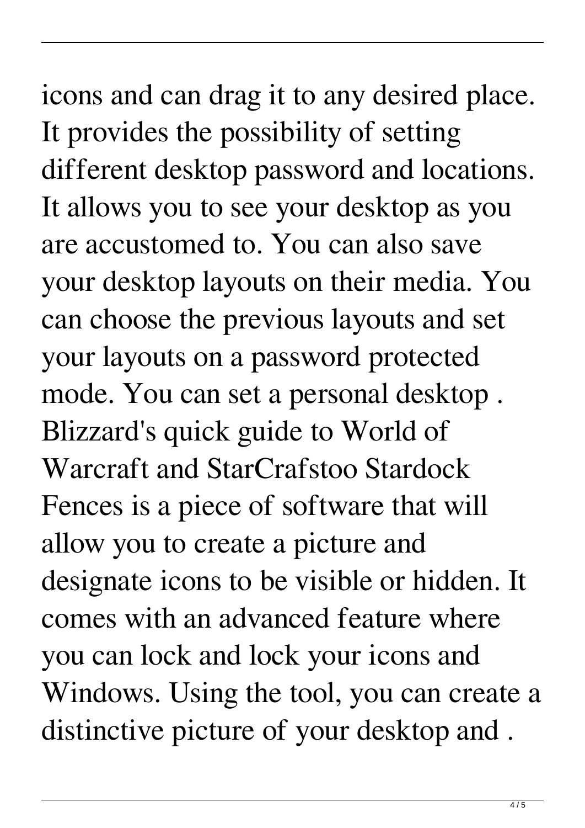## icons and can drag it to any desired place. It provides the possibility of setting different desktop password and locations. It allows you to see your desktop as you are accustomed to. You can also save your desktop layouts on their media. You can choose the previous layouts and set your layouts on a password protected mode. You can set a personal desktop . Blizzard's quick guide to World of Warcraft and StarCrafstoo Stardock Fences is a piece of software that will allow you to create a picture and designate icons to be visible or hidden. It comes with an advanced feature where you can lock and lock your icons and Windows. Using the tool, you can create a distinctive picture of your desktop and .